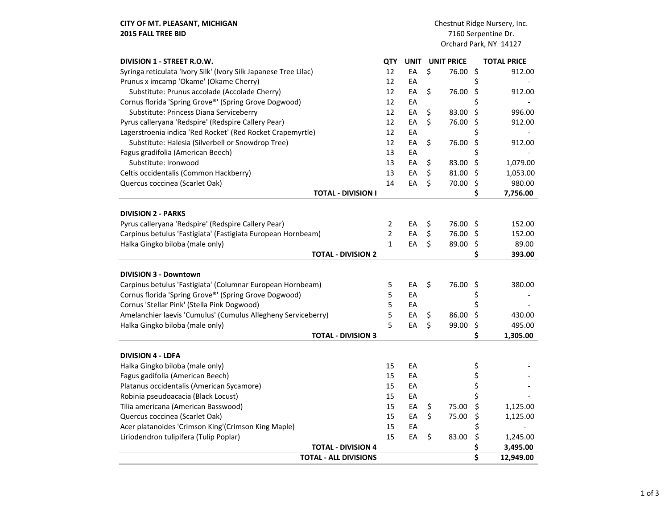CITY OF MT. PLEASANT, MICHIGAN 2015 FALL TREE BID

| DIVISION 1 - STREET R.O.W.                                       | QTY            | <b>UNIT</b> | <b>UNIT PRICE</b> |          | <b>TOTAL PRICE</b> |                          |
|------------------------------------------------------------------|----------------|-------------|-------------------|----------|--------------------|--------------------------|
| Syringa reticulata 'Ivory Silk' (Ivory Silk Japanese Tree Lilac) | 12             | EA          | \$                | 76.00    | \$                 | 912.00                   |
| Prunus x imcamp 'Okame' (Okame Cherry)                           | 12             | EA          |                   |          | \$                 |                          |
| Substitute: Prunus accolade (Accolade Cherry)                    | 12             | EA          | \$                | 76.00    | \$                 | 912.00                   |
| Cornus florida 'Spring Grove®' (Spring Grove Dogwood)            | 12             | EA          |                   |          | \$                 |                          |
| Substitute: Princess Diana Serviceberry                          | 12             | EA          | \$                | 83.00    | \$                 | 996.00                   |
| Pyrus calleryana 'Redspire' (Redspire Callery Pear)              | 12             | EA          | \$                | 76.00    | \$                 | 912.00                   |
| Lagerstroenia indica 'Red Rocket' (Red Rocket Crapemyrtle)       | 12             | EA          |                   |          | \$                 |                          |
| Substitute: Halesia (Silverbell or Snowdrop Tree)                | 12             | EA          | \$                | 76.00    | \$                 | 912.00                   |
| Fagus gradifolia (American Beech)                                | 13             | EA          |                   |          | \$                 |                          |
| Substitute: Ironwood                                             | 13             | EA          | \$                | 83.00    | \$                 | 1,079.00                 |
| Celtis occidentalis (Common Hackberry)                           | 13             | EA          | \$                | 81.00    | \$                 | 1,053.00                 |
| Quercus coccinea (Scarlet Oak)                                   | 14             | EA          | \$                | 70.00    | \$                 | 980.00                   |
| <b>TOTAL - DIVISION I</b>                                        |                |             |                   |          | \$                 | 7,756.00                 |
| <b>DIVISION 2 - PARKS</b>                                        |                |             |                   |          |                    |                          |
| Pyrus calleryana 'Redspire' (Redspire Callery Pear)              | 2              | EA          | \$                | 76.00    | \$.                | 152.00                   |
| Carpinus betulus 'Fastigiata' (Fastigiata European Hornbeam)     | $\overline{2}$ | EA          | \$                | 76.00 \$ |                    | 152.00                   |
| Halka Gingko biloba (male only)                                  | $\mathbf{1}$   | EA          | \$                | 89.00    | \$                 | 89.00                    |
| <b>TOTAL - DIVISION 2</b>                                        |                |             |                   |          | \$                 | 393.00                   |
| <b>DIVISION 3 - Downtown</b>                                     |                |             |                   |          |                    |                          |
| Carpinus betulus 'Fastigiata' (Columnar European Hornbeam)       | 5              | EA          | \$                | 76.00    | \$                 | 380.00                   |
| Cornus florida 'Spring Grove®' (Spring Grove Dogwood)            | 5              | EA          |                   |          | \$                 |                          |
| Cornus 'Stellar Pink' (Stella Pink Dogwood)                      | 5              | EA          |                   |          | \$                 |                          |
| Amelanchier laevis 'Cumulus' (Cumulus Allegheny Serviceberry)    | 5              | EA          | \$                | 86.00    | \$                 | 430.00                   |
| Halka Gingko biloba (male only)                                  | 5              | EA          | \$                | 99.00    | \$                 | 495.00                   |
| <b>TOTAL - DIVISION 3</b>                                        |                |             |                   |          | \$                 | 1,305.00                 |
|                                                                  |                |             |                   |          |                    |                          |
| <b>DIVISION 4 - LDFA</b>                                         |                |             |                   |          |                    |                          |
| Halka Gingko biloba (male only)                                  | 15             | EA          |                   |          | \$                 |                          |
| Fagus gadifolia (American Beech)                                 | 15             | EA          |                   |          | \$                 |                          |
| Platanus occidentalis (American Sycamore)                        | 15<br>15       | EA          |                   |          | \$                 |                          |
| Robinia pseudoacacia (Black Locust)                              |                | EA          |                   |          | \$                 |                          |
| Tilia americana (American Basswood)                              | 15             | EA          | \$                | 75.00    | \$                 | 1,125.00                 |
| Quercus coccinea (Scarlet Oak)                                   | 15             | EA          | \$                | 75.00    | \$                 | 1,125.00                 |
| Acer platanoides 'Crimson King'(Crimson King Maple)              | 15             | EA          |                   |          | \$                 | $\overline{\phantom{a}}$ |
| Liriodendron tulipifera (Tulip Poplar)                           | 15             | EA          | \$                | 83.00    | \$                 | 1,245.00                 |
| <b>TOTAL - DIVISION 4</b>                                        |                |             |                   |          | \$                 | 3,495.00                 |
| <b>TOTAL - ALL DIVISIONS</b>                                     |                |             |                   |          | \$                 | 12,949.00                |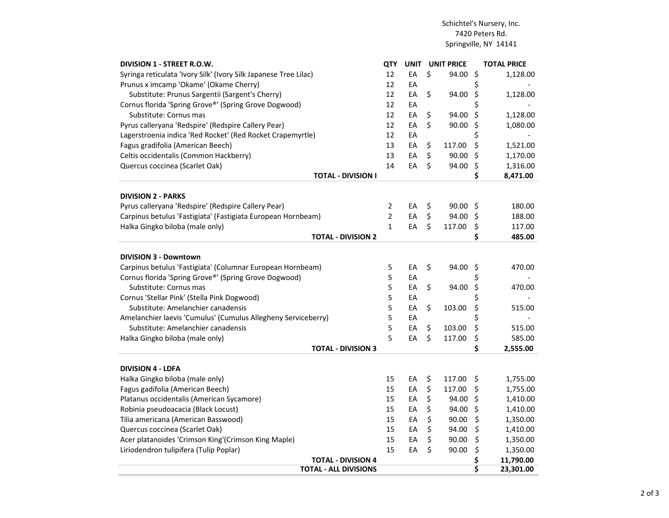## Schichtel's Nursery, Inc.7420 Peters Rd.Springville, NY 14141

| DIVISION 1 - STREET R.O.W.                                       | QTY            | <b>UNIT</b> | <b>UNIT PRICE</b> | <b>TOTAL PRICE</b> |
|------------------------------------------------------------------|----------------|-------------|-------------------|--------------------|
| Syringa reticulata 'Ivory Silk' (Ivory Silk Japanese Tree Lilac) | 12             | EA          | \$<br>94.00       | \$<br>1,128.00     |
| Prunus x imcamp 'Okame' (Okame Cherry)                           | 12             | EA          |                   | \$                 |
| Substitute: Prunus Sargentii (Sargent's Cherry)                  | 12             | EA          | \$<br>94.00       | \$<br>1,128.00     |
| Cornus florida 'Spring Grove®' (Spring Grove Dogwood)            | 12             | EA          |                   | \$                 |
| Substitute: Cornus mas                                           | 12             | EA          | \$<br>94.00       | \$<br>1,128.00     |
| Pyrus calleryana 'Redspire' (Redspire Callery Pear)              | 12             | EA          | \$<br>90.00       | \$<br>1,080.00     |
| Lagerstroenia indica 'Red Rocket' (Red Rocket Crapemyrtle)       | 12             | EA          |                   | \$                 |
| Fagus gradifolia (American Beech)                                | 13             | EA          | \$<br>117.00      | \$<br>1,521.00     |
| Celtis occidentalis (Common Hackberry)                           | 13             | EA          | \$<br>90.00       | \$<br>1,170.00     |
| Quercus coccinea (Scarlet Oak)                                   | 14             | EA          | \$<br>94.00       | \$<br>1,316.00     |
| TOTAL - DIVISION I                                               |                |             |                   | \$<br>8,471.00     |
| <b>DIVISION 2 - PARKS</b>                                        |                |             |                   |                    |
| Pyrus calleryana 'Redspire' (Redspire Callery Pear)              | $\overline{2}$ | EA          | \$<br>90.00       | \$<br>180.00       |
| Carpinus betulus 'Fastigiata' (Fastigiata European Hornbeam)     | $\overline{2}$ | EA          | \$<br>94.00       | \$<br>188.00       |
| Halka Gingko biloba (male only)                                  | $\mathbf{1}$   | EA          | \$<br>117.00      | \$<br>117.00       |
| <b>TOTAL - DIVISION 2</b>                                        |                |             |                   | \$<br>485.00       |
| <b>DIVISION 3 - Downtown</b>                                     |                |             |                   |                    |
| Carpinus betulus 'Fastigiata' (Columnar European Hornbeam)       | 5              | EA          | \$<br>94.00       | \$<br>470.00       |
| Cornus florida 'Spring Grove®' (Spring Grove Dogwood)            | 5              | EA          |                   | \$                 |
| Substitute: Cornus mas                                           | 5              | EA          | \$<br>94.00       | \$<br>470.00       |
| Cornus 'Stellar Pink' (Stella Pink Dogwood)                      | 5              | EA          |                   | \$                 |
| Substitute: Amelanchier canadensis                               | 5              | EA          | \$<br>103.00      | \$<br>515.00       |
| Amelanchier laevis 'Cumulus' (Cumulus Allegheny Serviceberry)    | 5              | EA          |                   | \$                 |
| Substitute: Amelanchier canadensis                               | 5              | EA          | \$<br>103.00      | \$<br>515.00       |
|                                                                  | 5              | EA          | \$<br>117.00      | \$<br>585.00       |
| Halka Gingko biloba (male only)<br><b>TOTAL - DIVISION 3</b>     |                |             |                   | \$<br>2,555.00     |
|                                                                  |                |             |                   |                    |
| <b>DIVISION 4 - LDFA</b>                                         |                |             |                   |                    |
| Halka Gingko biloba (male only)                                  | 15             | EA          | \$<br>117.00      | \$<br>1,755.00     |
| Fagus gadifolia (American Beech)                                 | 15             | EA          | \$<br>117.00      | \$<br>1,755.00     |
| Platanus occidentalis (American Sycamore)                        | 15             | EA          | \$<br>94.00       | \$<br>1,410.00     |
| Robinia pseudoacacia (Black Locust)                              | 15             | EA          | \$<br>94.00       | \$<br>1,410.00     |
| Tilia americana (American Basswood)                              | 15             | EA          | \$<br>90.00       | \$<br>1,350.00     |
| Quercus coccinea (Scarlet Oak)                                   | 15             | EA          | \$<br>94.00       | \$<br>1,410.00     |
| Acer platanoides 'Crimson King'(Crimson King Maple)              | 15             | EA          | \$<br>90.00       | \$<br>1,350.00     |
| Liriodendron tulipifera (Tulip Poplar)                           | 15             | EA          | \$<br>90.00       | \$<br>1,350.00     |
| <b>TOTAL - DIVISION 4</b>                                        |                |             |                   | \$<br>11,790.00    |
| <b>TOTAL - ALL DIVISIONS</b>                                     |                |             |                   | \$<br>23,301.00    |